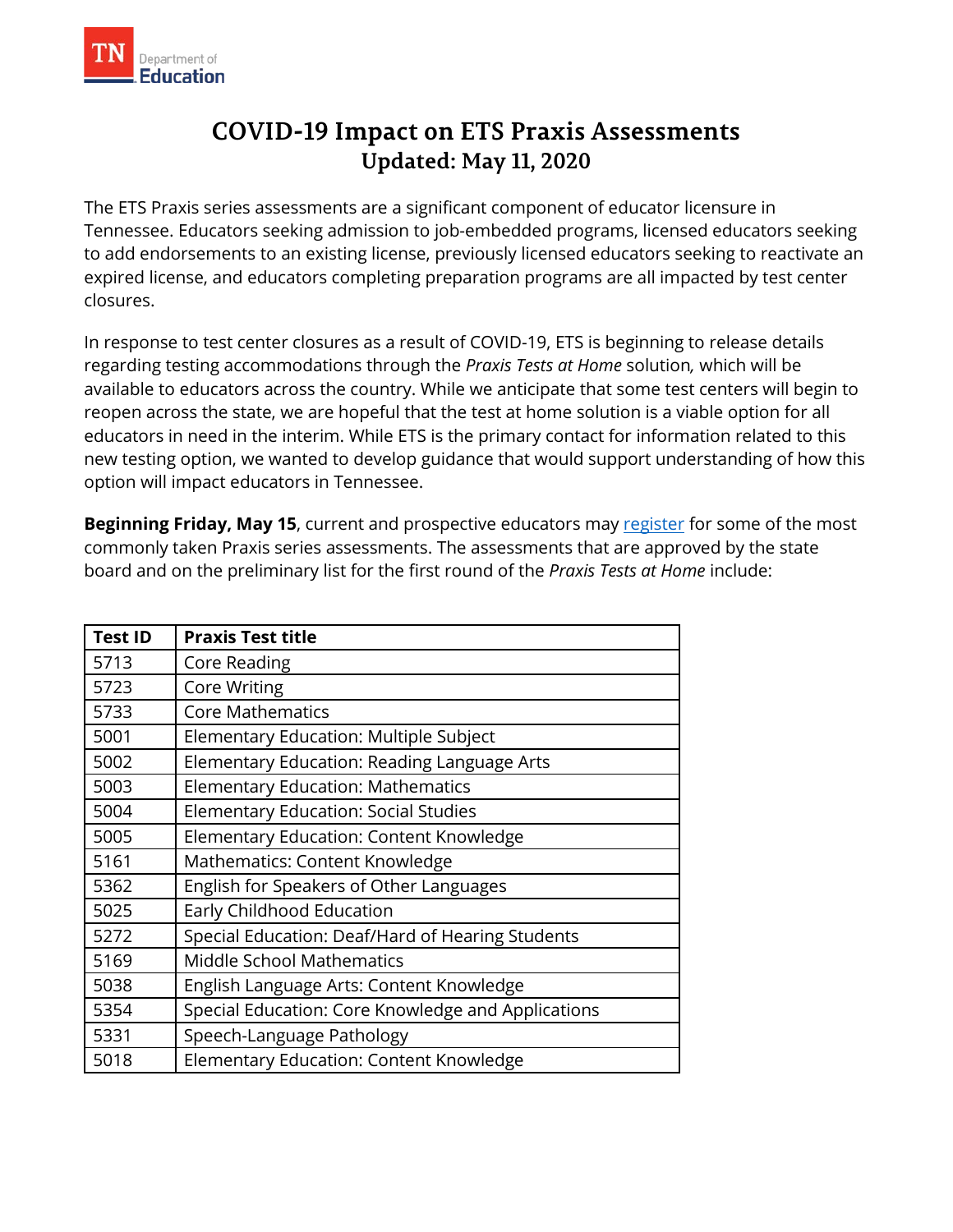

## **COVID-19 Impact on ETS Praxis Assessments Updated: May 11, 2020**

 The ETS Praxis series assessments are a significant component of educator licensure in Tennessee. Educators seeking admission to job-embedded programs, licensed educators seeking to add endorsements to an existing license, previously licensed educators seeking to reactivate an expired license, and educators completing preparation programs are all impacted by test center closures.

closures.<br>In response to test center closures as a result of COVID-19, ETS is beginning to release details regarding testing accommodations through the *Praxis Tests at Home* solution*,* which will be available to educators across the country. While we anticipate that some test centers will begin to reopen across the state, we are hopeful that the test at home solution is a viable option for all educators in need in the interim. While ETS is the primary contact for information related to this new testing option, we wanted to develop guidance that would support understanding of how this option will impact educators in Tennessee.

**Beginning Friday, May 15**, current and prospective educators may [register](https://www.ets.org/praxis/register/?WT.ac=praxishome_praxisregister_180911) for some of the most commonly taken Praxis series assessments. The assessments that are approved by the state board and on the preliminary list for the first round of the *Praxis Tests at Home* include:

| <b>Test ID</b> | <b>Praxis Test title</b>                           |
|----------------|----------------------------------------------------|
| 5713           | Core Reading                                       |
| 5723           | <b>Core Writing</b>                                |
| 5733           | <b>Core Mathematics</b>                            |
| 5001           | Elementary Education: Multiple Subject             |
| 5002           | Elementary Education: Reading Language Arts        |
| 5003           | <b>Elementary Education: Mathematics</b>           |
| 5004           | <b>Elementary Education: Social Studies</b>        |
| 5005           | Elementary Education: Content Knowledge            |
| 5161           | Mathematics: Content Knowledge                     |
| 5362           | English for Speakers of Other Languages            |
| 5025           | Early Childhood Education                          |
| 5272           | Special Education: Deaf/Hard of Hearing Students   |
| 5169           | <b>Middle School Mathematics</b>                   |
| 5038           | English Language Arts: Content Knowledge           |
| 5354           | Special Education: Core Knowledge and Applications |
| 5331           | Speech-Language Pathology                          |
| 5018           | Elementary Education: Content Knowledge            |